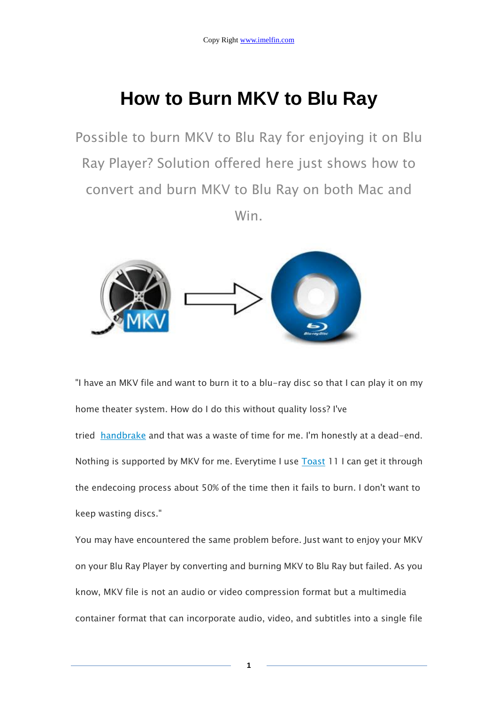# **How to Burn MKV to Blu Ray**

Possible to burn MKV to Blu Ray for enjoying it on Blu Ray Player? Solution offered here just shows how to convert and burn MKV to Blu Ray on both Mac and Win.



"I have an MKV file and want to burn it to a blu-ray disc so that I can play it on my home theater system. How do I do this without quality loss? I've

tried [handbrake](http://www.videohelp.com/tools/HandBrake) and that was a waste of time for me. I'm honestly at a dead-end. Nothing is supported by MKV for me. Everytime I use **[Toast](http://www.videohelp.com/tools/Toast-6) 11 I can get it through** the endecoing process about 50% of the time then it fails to burn. I don't want to keep wasting discs."

You may have encountered the same problem before. Just want to enjoy your MKV on your Blu Ray Player by converting and burning MKV to Blu Ray but failed. As you know, MKV file is not an audio or video compression format but a multimedia container format that can incorporate audio, video, and subtitles into a single file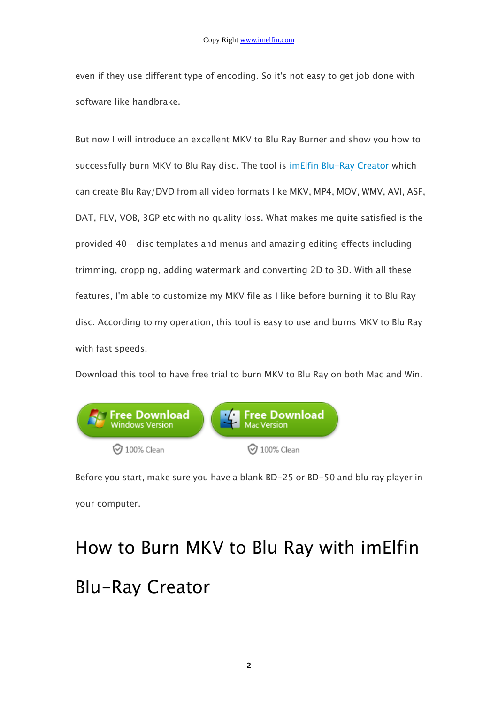even if they use different type of encoding. So it's not easy to get job done with software like handbrake.

But now I will introduce an excellent MKV to Blu Ray Burner and show you how to successfully burn MKV to Blu Ray disc. The tool is *[imElfin Blu-Ray Creator](http://www.imelfin.com/blu-ray-creator.html)* which can create Blu Ray/DVD from all video formats like MKV, MP4, MOV, WMV, AVI, ASF, DAT, FLV, VOB, 3GP etc with no quality loss. What makes me quite satisfied is the provided 40+ disc templates and menus and amazing editing effects including trimming, cropping, adding watermark and converting 2D to 3D. With all these features, I'm able to customize my MKV file as I like before burning it to Blu Ray disc. According to my operation, this tool is easy to use and burns MKV to Blu Ray with fast speeds.

Download this tool to have free trial to burn MKV to Blu Ray on both Mac and Win.



Before you start, make sure you have a blank BD-25 or BD-50 and blu ray player in your computer.

# How to Burn MKV to Blu Ray with imElfin Blu-Ray Creator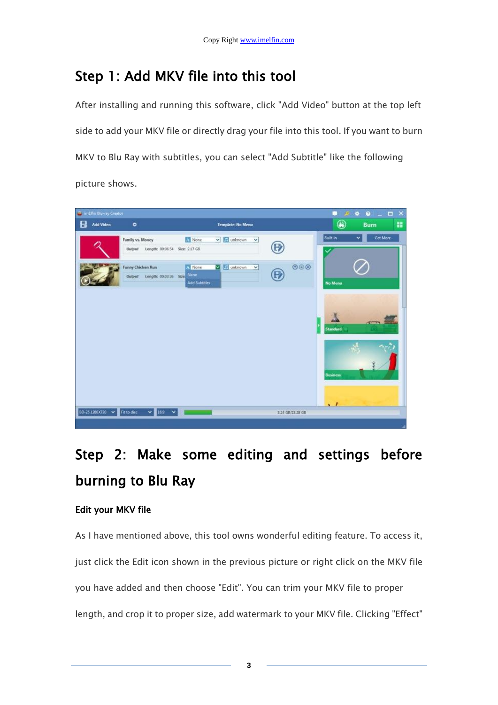### Step 1: Add MKV file into this tool

After installing and running this software, click "Add Video" button at the top left side to add your MKV file or directly drag your file into this tool. If you want to burn MKV to Blu Ray with subtitles, you can select "Add Subtitle" like the following picture shows.



### Step 2: Make some editing and settings before burning to Blu Ray

#### Edit your MKV file

As I have mentioned above, this tool owns wonderful editing feature. To access it, just click the Edit icon shown in the previous picture or right click on the MKV file you have added and then choose "Edit". You can trim your MKV file to proper length, and crop it to proper size, add watermark to your MKV file. Clicking "Effect"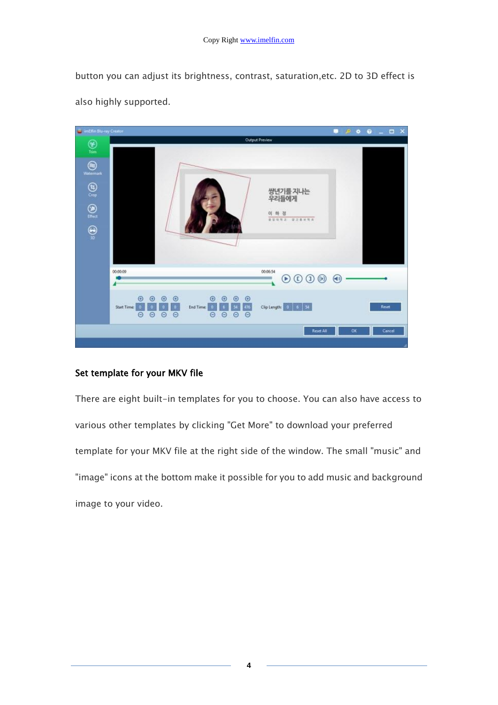button you can adjust its brightness, contrast, saturation,etc. 2D to 3D effect is also highly supported.



#### Set template for your MKV file

There are eight built-in templates for you to choose. You can also have access to various other templates by clicking "Get More" to download your preferred template for your MKV file at the right side of the window. The small "music" and "image" icons at the bottom make it possible for you to add music and background image to your video.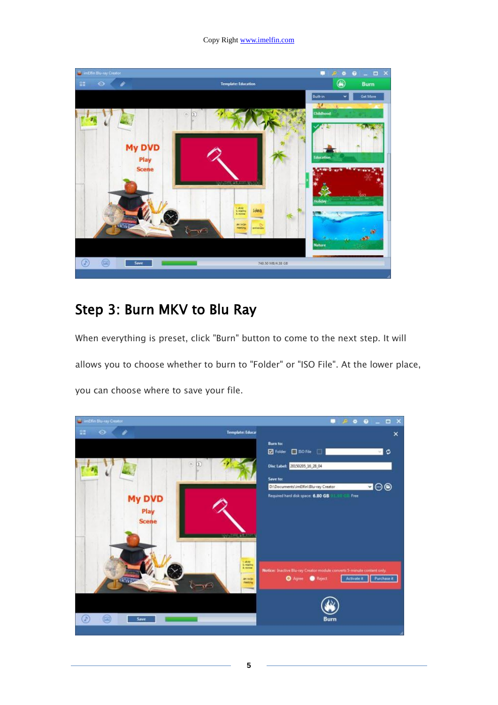

### Step 3: Burn MKV to Blu Ray

When everything is preset, click "Burn" button to come to the next step. It will allows you to choose whether to burn to "Folder" or "ISO File". At the lower place, you can choose where to save your file.

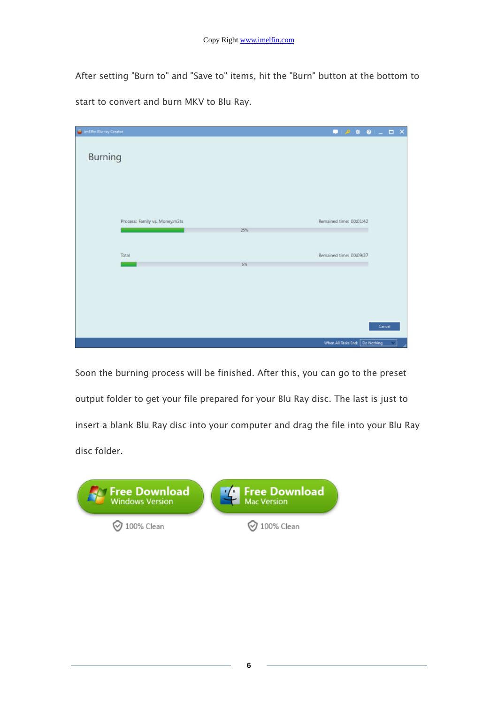After setting "Burn to" and "Save to" items, hit the "Burn" button at the bottom to start to convert and burn MKV to Blu Ray.

| imElfin Blu-ray Creator        | $\blacksquare \blacksquare \triangleright \blacklozenge \blacksquare \blacksquare \blacksquare \blacksquare \blacksquare \blacksquare \blacksquare \blacksquare$ |
|--------------------------------|------------------------------------------------------------------------------------------------------------------------------------------------------------------|
|                                |                                                                                                                                                                  |
| <b>Burning</b>                 |                                                                                                                                                                  |
|                                |                                                                                                                                                                  |
|                                |                                                                                                                                                                  |
|                                |                                                                                                                                                                  |
| Process: Family vs. Money.m2ts | Remained time: 00:01:42                                                                                                                                          |
| 25%                            |                                                                                                                                                                  |
|                                |                                                                                                                                                                  |
| Total                          | Remained time: 00:09:37                                                                                                                                          |
| 6%                             |                                                                                                                                                                  |
|                                |                                                                                                                                                                  |
|                                |                                                                                                                                                                  |
|                                |                                                                                                                                                                  |
|                                | Cancel                                                                                                                                                           |
|                                | When All Tasks End: Do Nothing<br>×<br>Æ                                                                                                                         |

Soon the burning process will be finished. After this, you can go to the preset output folder to get your file prepared for your Blu Ray disc. The last is just to insert a blank Blu Ray disc into your computer and drag the file into your Blu Ray disc folder.